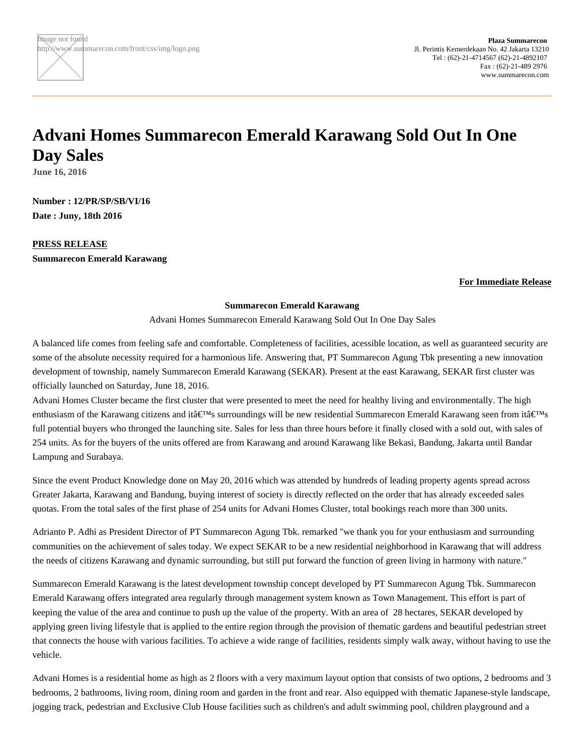## **Advani Homes Summarecon Emerald Karawang Sold Out In One Day Sales**

**June 16, 2016**

**Number : 12/PR/SP/SB/VI/16 Date : Juny, 18th 2016**

**PRESS RELEASE Summarecon Emerald Karawang**

## **For Immediate Release**

## **Summarecon Emerald Karawang**

Advani Homes Summarecon Emerald Karawang Sold Out In One Day Sales

A balanced life comes from feeling safe and comfortable. Completeness of facilities, acessible location, as well as guaranteed security are some of the absolute necessity required for a harmonious life. Answering that, PT Summarecon Agung Tbk presenting a new innovation development of township, namely Summarecon Emerald Karawang (SEKAR). Present at the east Karawang, SEKAR first cluster was officially launched on Saturday, June 18, 2016.

Advani Homes Cluster became the first cluster that were presented to meet the need for healthy living and environmentally. The high enthusiasm of the Karawang citizens and it $\hat{\mathbf{a}} \in \mathbb{M}_S$  surroundings will be new residential Summarecon Emerald Karawang seen from it $\hat{\mathbf{a}} \in \mathbb{M}_S$ full potential buyers who thronged the launching site. Sales for less than three hours before it finally closed with a sold out, with sales of 254 units. As for the buyers of the units offered are from Karawang and around Karawang like Bekasi, Bandung, Jakarta until Bandar Lampung and Surabaya.

Since the event Product Knowledge done on May 20, 2016 which was attended by hundreds of leading property agents spread across Greater Jakarta, Karawang and Bandung, buying interest of society is directly reflected on the order that has already exceeded sales quotas. From the total sales of the first phase of 254 units for Advani Homes Cluster, total bookings reach more than 300 units.

Adrianto P. Adhi as President Director of PT Summarecon Agung Tbk. remarked "we thank you for your enthusiasm and surrounding communities on the achievement of sales today. We expect SEKAR to be a new residential neighborhood in Karawang that will address the needs of citizens Karawang and dynamic surrounding, but still put forward the function of green living in harmony with nature."

Summarecon Emerald Karawang is the latest development township concept developed by PT Summarecon Agung Tbk. Summarecon Emerald Karawang offers integrated area regularly through management system known as Town Management. This effort is part of keeping the value of the area and continue to push up the value of the property. With an area of 28 hectares, SEKAR developed by applying green living lifestyle that is applied to the entire region through the provision of thematic gardens and beautiful pedestrian street that connects the house with various facilities. To achieve a wide range of facilities, residents simply walk away, without having to use the vehicle.

Advani Homes is a residential home as high as 2 floors with a very maximum layout option that consists of two options, 2 bedrooms and 3 bedrooms, 2 bathrooms, living room, dining room and garden in the front and rear. Also equipped with thematic Japanese-style landscape, jogging track, pedestrian and Exclusive Club House facilities such as children's and adult swimming pool, children playground and a